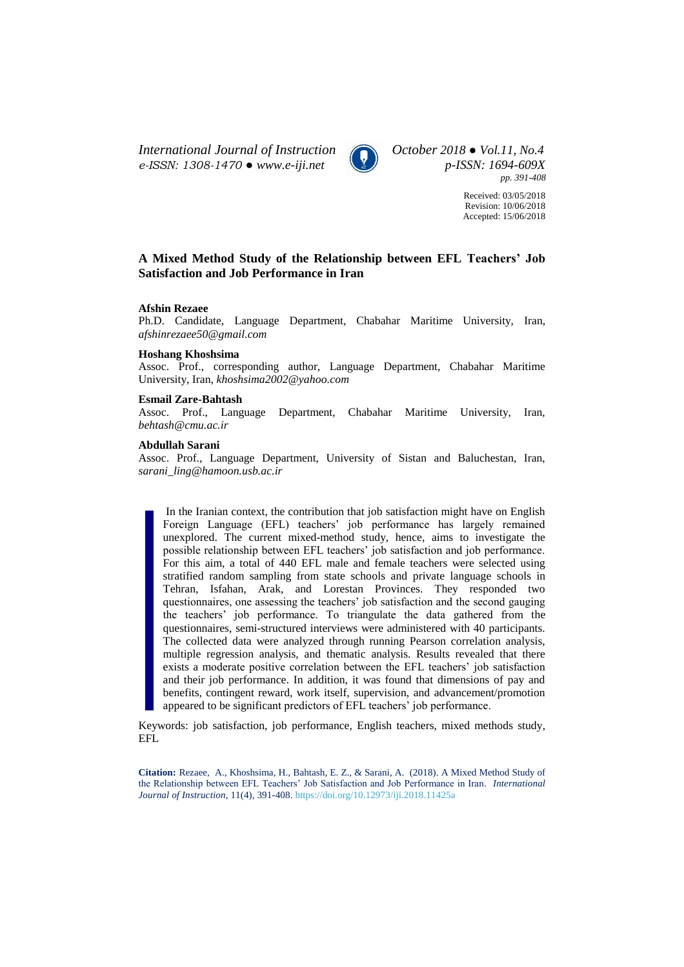*International Journal of Instruction October 2018 ● Vol.11, No.4 e-ISSN: 1308-1470 ● [www.e-iji.net](http://www.e-iji.net/) p-ISSN: 1694-609X*



*pp. 391-408*

Received: 03/05/2018 Revision: 10/06/2018 Accepted: 15/06/2018

# **A Mixed Method Study of the Relationship between EFL Teachers' Job Satisfaction and Job Performance in Iran**

#### **Afshin Rezaee**

Ph.D. Candidate, Language Department, Chabahar Maritime University, Iran, *[afshinrezaee50@gmail.com](mailto:Afshinrezaee50@gmail.com)*

#### **Hoshang Khoshsima**

Assoc. Prof., corresponding author, Language Department, Chabahar Maritime University, Iran, *[khoshsima2002@yahoo.com](mailto:khoshsima2002@yahoo.com)*

#### **Esmail Zare-Bahtash**

Assoc. Prof., Language Department, Chabahar Maritime University, Iran, *[behtash@cmu.ac.ir](mailto:behtash@cmu.ac.ir)*

## **Abdullah Sarani**

Assoc. Prof., Language Department, University of Sistan and Baluchestan, Iran, *[sarani\\_ling@hamoon.usb.ac.ir](mailto:Sarani_ling@hamoon.usb.ac.ir)*

In the Iranian context, the contribution that job satisfaction might have on English Foreign Language (EFL) teachers' job performance has largely remained unexplored. The current mixed-method study, hence, aims to investigate the possible relationship between EFL teachers' job satisfaction and job performance. For this aim, a total of 440 EFL male and female teachers were selected using stratified random sampling from state schools and private language schools in Tehran, Isfahan, Arak, and Lorestan Provinces. They responded two questionnaires, one assessing the teachers' job satisfaction and the second gauging the teachers' job performance. To triangulate the data gathered from the questionnaires, semi-structured interviews were administered with 40 participants. The collected data were analyzed through running Pearson correlation analysis, multiple regression analysis, and thematic analysis. Results revealed that there exists a moderate positive correlation between the EFL teachers' job satisfaction and their job performance. In addition, it was found that dimensions of pay and benefits, contingent reward, work itself, supervision, and advancement/promotion appeared to be significant predictors of EFL teachers' job performance.

Keywords: job satisfaction, job performance, English teachers, mixed methods study, EFL

**Citation:** Rezaee, A., Khoshsima, H., Bahtash, E. Z., & Sarani, A. (2018). A Mixed Method Study of the Relationship between EFL Teachers' Job Satisfaction and Job Performance in Iran. *International Journal of Instruction*, 11(4), 391-408. <https://doi.org/10.12973/iji.2018.11425a>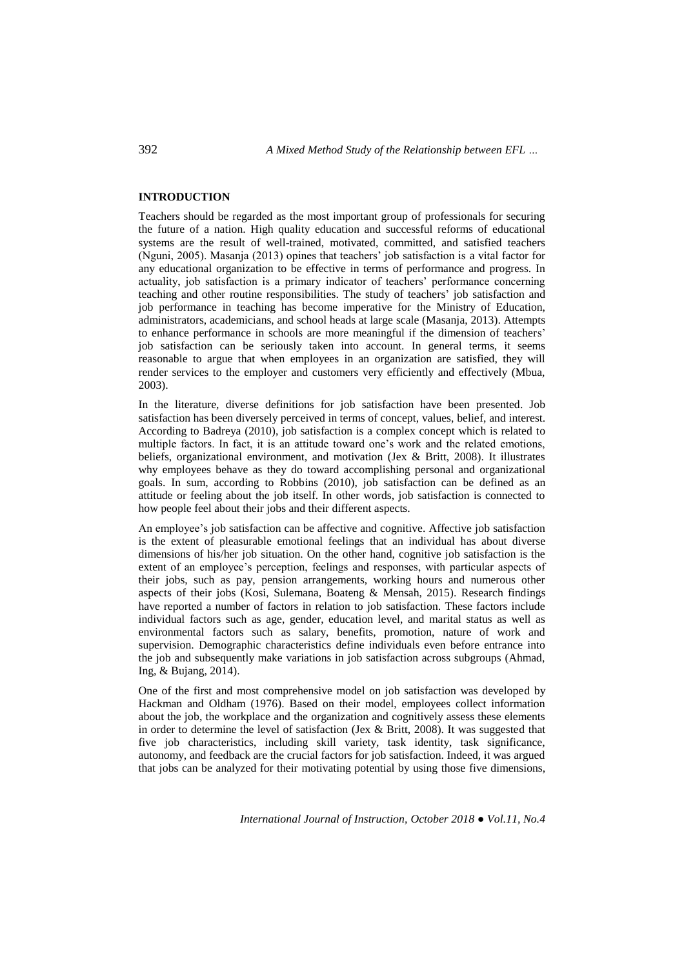# **INTRODUCTION**

Teachers should be regarded as the most important group of professionals for securing the future of a nation. High quality education and successful reforms of educational systems are the result of well-trained, motivated, committed, and satisfied teachers (Nguni, 2005). Masanja (2013) opines that teachers' job satisfaction is a vital factor for any educational organization to be effective in terms of performance and progress. In actuality, job satisfaction is a primary indicator of teachers' performance concerning teaching and other routine responsibilities. The study of teachers' job satisfaction and job performance in teaching has become imperative for the Ministry of Education, administrators, academicians, and school heads at large scale (Masanja, 2013). Attempts to enhance performance in schools are more meaningful if the dimension of teachers' job satisfaction can be seriously taken into account. In general terms, it seems reasonable to argue that when employees in an organization are satisfied, they will render services to the employer and customers very efficiently and effectively (Mbua, 2003).

In the literature, diverse definitions for job satisfaction have been presented. Job satisfaction has been diversely perceived in terms of concept, values, belief, and interest. According to Badreya (2010), job satisfaction is a complex concept which is related to multiple factors. In fact, it is an attitude toward one's work and the related emotions, beliefs, organizational environment, and motivation (Jex & Britt, 2008). It illustrates why employees behave as they do toward accomplishing personal and organizational goals. In sum, according to Robbins (2010), job satisfaction can be defined as an attitude or feeling about the job itself. In other words, job satisfaction is connected to how people feel about their jobs and their different aspects.

An employee's job satisfaction can be affective and cognitive. Affective job satisfaction is the extent of pleasurable emotional feelings that an individual has about diverse dimensions of his/her job situation. On the other hand, cognitive job satisfaction is the extent of an employee's perception, feelings and responses, with particular aspects of their jobs, such as pay, pension arrangements, working hours and numerous other aspects of their jobs (Kosi, Sulemana, Boateng & Mensah, 2015). Research findings have reported a number of factors in relation to job satisfaction. These factors include individual factors such as age, gender, education level, and marital status as well as environmental factors such as salary, benefits, promotion, nature of work and supervision. Demographic characteristics define individuals even before entrance into the job and subsequently make variations in job satisfaction across subgroups (Ahmad, Ing, & Bujang, 2014).

One of the first and most comprehensive model on job satisfaction was developed by Hackman and Oldham (1976). Based on their model, employees collect information about the job, the workplace and the organization and cognitively assess these elements in order to determine the level of satisfaction (Jex & Britt, 2008). It was suggested that five job characteristics, including skill variety, task identity, task significance, autonomy, and feedback are the crucial factors for job satisfaction. Indeed, it was argued that jobs can be analyzed for their motivating potential by using those five dimensions,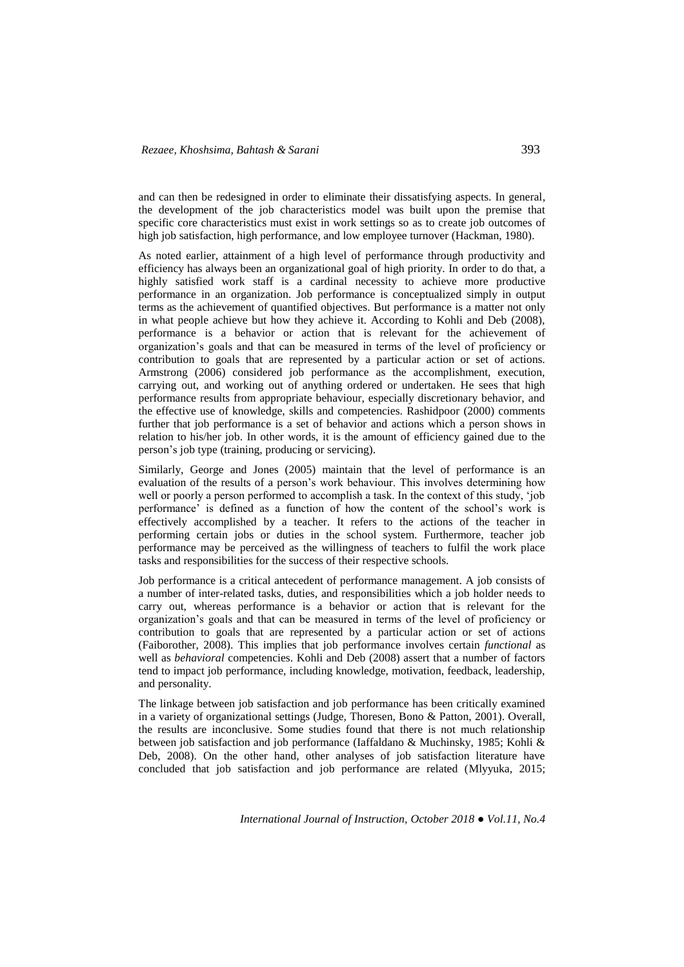and can then be redesigned in order to eliminate their dissatisfying aspects. In general, the development of the job characteristics model was built upon the premise that specific core characteristics must exist in work settings so as to create job outcomes of high job satisfaction, high performance, and low employee turnover (Hackman, 1980).

As noted earlier, attainment of a high level of performance through productivity and efficiency has always been an organizational goal of high priority. In order to do that, a highly satisfied work staff is a cardinal necessity to achieve more productive performance in an organization. Job performance is conceptualized simply in output terms as the achievement of quantified objectives. But performance is a matter not only in what people achieve but how they achieve it. According to Kohli and Deb (2008), performance is a behavior or action that is relevant for the achievement of organization's goals and that can be measured in terms of the level of proficiency or contribution to goals that are represented by a particular action or set of actions. Armstrong (2006) considered job performance as the accomplishment, execution, carrying out, and working out of anything ordered or undertaken. He sees that high performance results from appropriate behaviour, especially discretionary behavior, and the effective use of knowledge, skills and competencies. Rashidpoor (2000) comments further that job performance is a set of behavior and actions which a person shows in relation to his/her job. In other words, it is the amount of efficiency gained due to the person's job type (training, producing or servicing).

Similarly, George and Jones (2005) maintain that the level of performance is an evaluation of the results of a person's work behaviour. This involves determining how well or poorly a person performed to accomplish a task. In the context of this study, 'job performance' is defined as a function of how the content of the school's work is effectively accomplished by a teacher. It refers to the actions of the teacher in performing certain jobs or duties in the school system. Furthermore, teacher job performance may be perceived as the willingness of teachers to fulfil the work place tasks and responsibilities for the success of their respective schools.

Job performance is a critical antecedent of performance management. A job consists of a number of inter-related tasks, duties, and responsibilities which a job holder needs to carry out, whereas performance is a behavior or action that is relevant for the organization's goals and that can be measured in terms of the level of proficiency or contribution to goals that are represented by a particular action or set of actions (Faiborother, 2008). This implies that job performance involves certain *functional* as well as *behavioral* competencies. Kohli and Deb (2008) assert that a number of factors tend to impact job performance, including knowledge, motivation, feedback, leadership, and personality.

The linkage between job satisfaction and job performance has been critically examined in a variety of organizational settings (Judge, Thoresen, Bono & Patton, 2001). Overall, the results are inconclusive. Some studies found that there is not much relationship between job satisfaction and job performance (Iaffaldano & Muchinsky, 1985; Kohli & Deb, 2008). On the other hand, other analyses of job satisfaction literature have concluded that job satisfaction and job performance are related (Mlyyuka, 2015;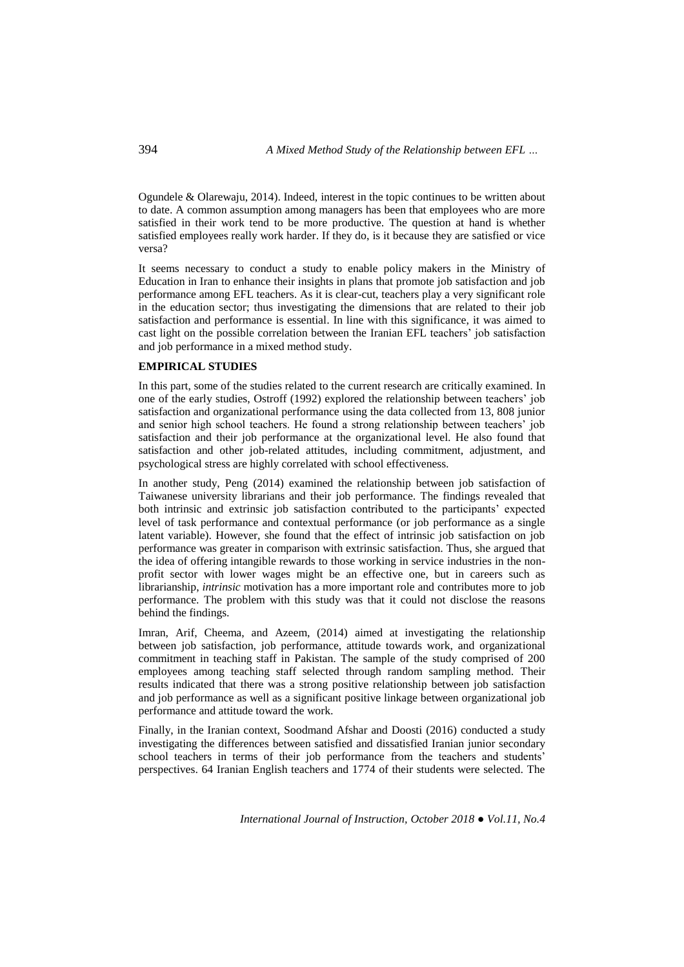Ogundele & Olarewaju, 2014). Indeed, interest in the topic continues to be written about to date. A common assumption among managers has been that employees who are more satisfied in their work tend to be more productive. The question at hand is whether satisfied employees really work harder. If they do, is it because they are satisfied or vice versa?

It seems necessary to conduct a study to enable policy makers in the Ministry of Education in Iran to enhance their insights in plans that promote job satisfaction and job performance among EFL teachers. As it is clear-cut, teachers play a very significant role in the education sector; thus investigating the dimensions that are related to their job satisfaction and performance is essential. In line with this significance, it was aimed to cast light on the possible correlation between the Iranian EFL teachers' job satisfaction and job performance in a mixed method study.

## **EMPIRICAL STUDIES**

In this part, some of the studies related to the current research are critically examined. In one of the early studies, Ostroff (1992) explored the relationship between teachers' job satisfaction and organizational performance using the data collected from 13, 808 junior and senior high school teachers. He found a strong relationship between teachers' job satisfaction and their job performance at the organizational level. He also found that satisfaction and other job-related attitudes, including commitment, adjustment, and psychological stress are highly correlated with school effectiveness.

In another study, Peng (2014) examined the relationship between job satisfaction of Taiwanese university librarians and their job performance. The findings revealed that both intrinsic and extrinsic job satisfaction contributed to the participants' expected level of task performance and contextual performance (or job performance as a single latent variable). However, she found that the effect of intrinsic job satisfaction on job performance was greater in comparison with extrinsic satisfaction. Thus, she argued that the idea of offering intangible rewards to those working in service industries in the nonprofit sector with lower wages might be an effective one, but in careers such as librarianship, *intrinsic* motivation has a more important role and contributes more to job performance. The problem with this study was that it could not disclose the reasons behind the findings.

Imran, Arif, Cheema, and Azeem, (2014) aimed at investigating the relationship between job satisfaction, job performance, attitude towards work, and organizational commitment in teaching staff in Pakistan. The sample of the study comprised of 200 employees among teaching staff selected through random sampling method. Their results indicated that there was a strong positive relationship between job satisfaction and job performance as well as a significant positive linkage between organizational job performance and attitude toward the work.

Finally, in the Iranian context, Soodmand Afshar and Doosti (2016) conducted a study investigating the differences between satisfied and dissatisfied Iranian junior secondary school teachers in terms of their job performance from the teachers and students' perspectives. 64 Iranian English teachers and 1774 of their students were selected. The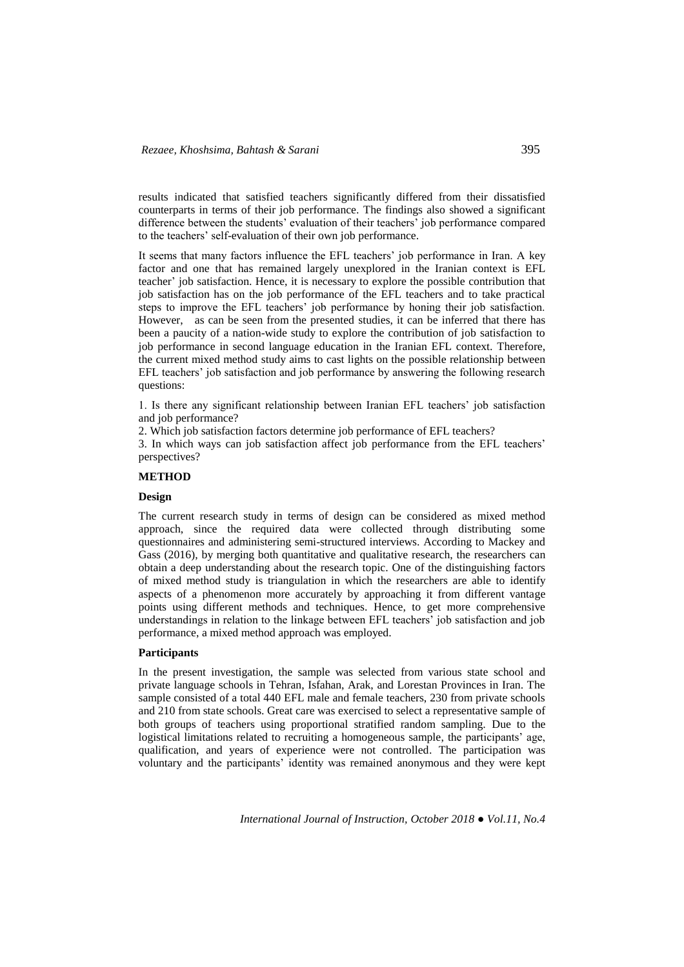results indicated that satisfied teachers significantly differed from their dissatisfied counterparts in terms of their job performance. The findings also showed a significant difference between the students' evaluation of their teachers' job performance compared to the teachers' self-evaluation of their own job performance.

It seems that many factors influence the EFL teachers' job performance in Iran. A key factor and one that has remained largely unexplored in the Iranian context is EFL teacher' job satisfaction. Hence, it is necessary to explore the possible contribution that job satisfaction has on the job performance of the EFL teachers and to take practical steps to improve the EFL teachers' job performance by honing their job satisfaction. However, as can be seen from the presented studies, it can be inferred that there has been a paucity of a nation-wide study to explore the contribution of job satisfaction to job performance in second language education in the Iranian EFL context. Therefore, the current mixed method study aims to cast lights on the possible relationship between EFL teachers' job satisfaction and job performance by answering the following research questions:

1. Is there any significant relationship between Iranian EFL teachers' job satisfaction and job performance?

2. Which job satisfaction factors determine job performance of EFL teachers?

3. In which ways can job satisfaction affect job performance from the EFL teachers' perspectives?

## **METHOD**

### **Design**

The current research study in terms of design can be considered as mixed method approach, since the required data were collected through distributing some questionnaires and administering semi-structured interviews. According to Mackey and Gass (2016), by merging both quantitative and qualitative research, the researchers can obtain a deep understanding about the research topic. One of the distinguishing factors of mixed method study is triangulation in which the researchers are able to identify aspects of a phenomenon more accurately by approaching it from different vantage points using different methods and techniques. Hence, to get more comprehensive understandings in relation to the linkage between EFL teachers' job satisfaction and job performance, a mixed method approach was employed.

# **Participants**

In the present investigation, the sample was selected from various state school and private language schools in Tehran, Isfahan, Arak, and Lorestan Provinces in Iran. The sample consisted of a total 440 EFL male and female teachers, 230 from private schools and 210 from state schools. Great care was exercised to select a representative sample of both groups of teachers using proportional stratified random sampling. Due to the logistical limitations related to recruiting a homogeneous sample, the participants' age, qualification, and years of experience were not controlled. The participation was voluntary and the participants' identity was remained anonymous and they were kept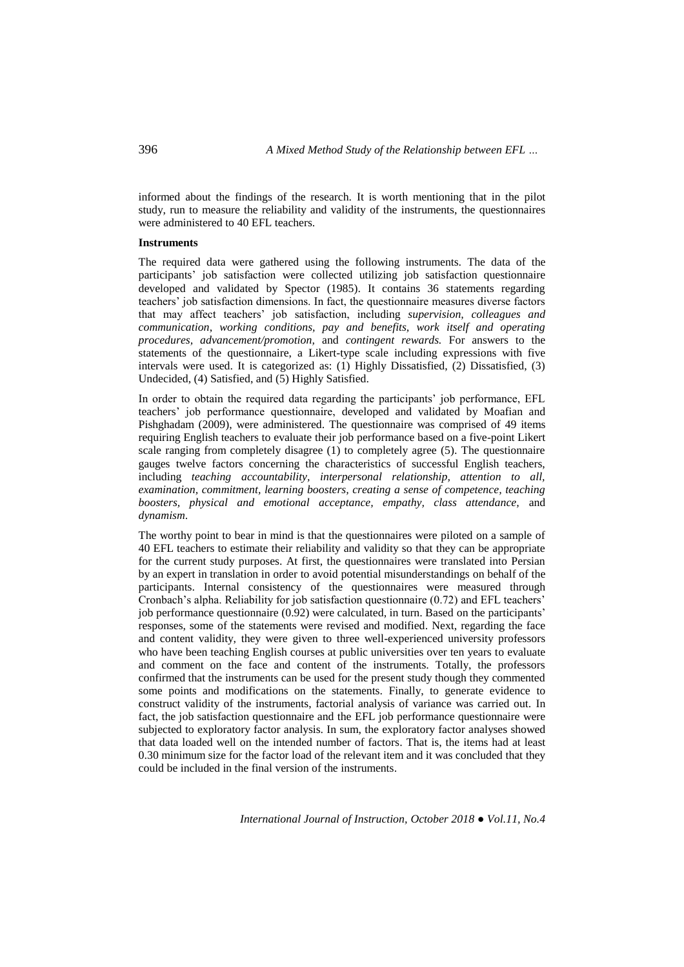informed about the findings of the research. It is worth mentioning that in the pilot study, run to measure the reliability and validity of the instruments, the questionnaires were administered to 40 EFL teachers.

### **Instruments**

The required data were gathered using the following instruments. The data of the participants' job satisfaction were collected utilizing job satisfaction questionnaire developed and validated by Spector (1985). It contains 36 statements regarding teachers' job satisfaction dimensions. In fact, the questionnaire measures diverse factors that may affect teachers' job satisfaction, including *supervision, colleagues and communication*, *working conditions, pay and benefits, work itself and operating procedures, advancement/promotion,* and *contingent rewards.* For answers to the statements of the questionnaire, a Likert-type scale including expressions with five intervals were used. It is categorized as: (1) Highly Dissatisfied, (2) Dissatisfied, (3) Undecided, (4) Satisfied, and (5) Highly Satisfied.

In order to obtain the required data regarding the participants' job performance, EFL teachers' job performance questionnaire, developed and validated by Moafian and Pishghadam (2009), were administered. The questionnaire was comprised of 49 items requiring English teachers to evaluate their job performance based on a five-point Likert scale ranging from completely disagree (1) to completely agree (5). The questionnaire gauges twelve factors concerning the characteristics of successful English teachers, including *teaching accountability, interpersonal relationship, attention to all, examination, commitment, learning boosters, creating a sense of competence, teaching boosters, physical and emotional acceptance, empathy, class attendance,* and *dynamism*.

The worthy point to bear in mind is that the questionnaires were piloted on a sample of 40 EFL teachers to estimate their reliability and validity so that they can be appropriate for the current study purposes. At first, the questionnaires were translated into Persian by an expert in translation in order to avoid potential misunderstandings on behalf of the participants. Internal consistency of the questionnaires were measured through Cronbach's alpha. Reliability for job satisfaction questionnaire (0.72) and EFL teachers' job performance questionnaire (0.92) were calculated, in turn. Based on the participants' responses, some of the statements were revised and modified. Next, regarding the face and content validity, they were given to three well-experienced university professors who have been teaching English courses at public universities over ten years to evaluate and comment on the face and content of the instruments. Totally, the professors confirmed that the instruments can be used for the present study though they commented some points and modifications on the statements. Finally, to generate evidence to construct validity of the instruments, factorial analysis of variance was carried out. In fact, the job satisfaction questionnaire and the EFL job performance questionnaire were subjected to exploratory factor analysis. In sum, the exploratory factor analyses showed that data loaded well on the intended number of factors. That is, the items had at least 0.30 minimum size for the factor load of the relevant item and it was concluded that they could be included in the final version of the instruments.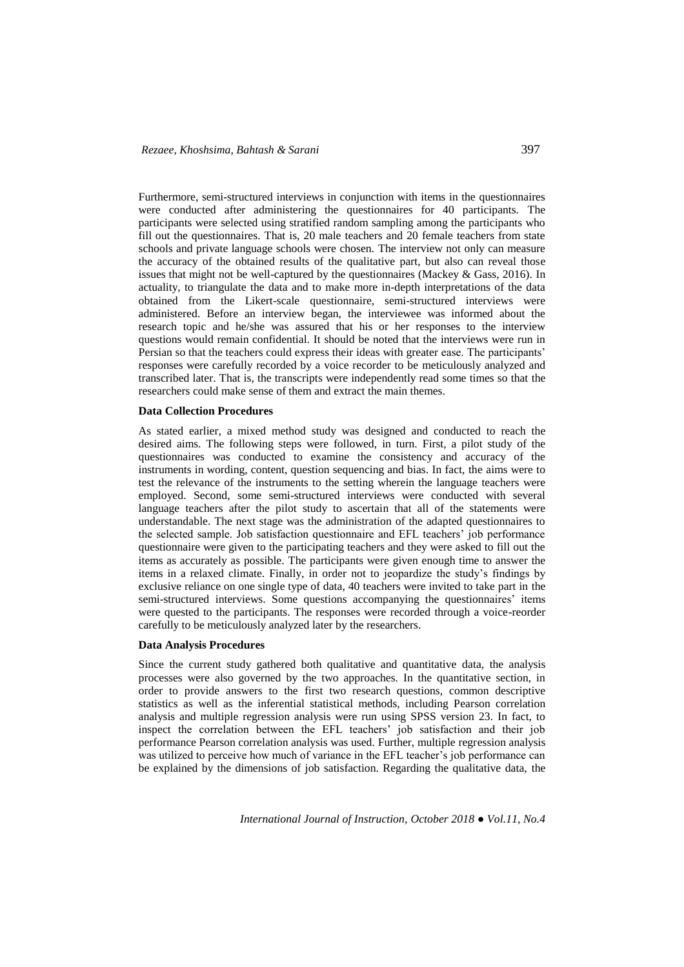Furthermore, semi-structured interviews in conjunction with items in the questionnaires were conducted after administering the questionnaires for 40 participants. The participants were selected using stratified random sampling among the participants who fill out the questionnaires. That is, 20 male teachers and 20 female teachers from state schools and private language schools were chosen. The interview not only can measure the accuracy of the obtained results of the qualitative part, but also can reveal those issues that might not be well-captured by the questionnaires (Mackey  $&$  Gass, 2016). In actuality, to triangulate the data and to make more in-depth interpretations of the data obtained from the Likert-scale questionnaire, semi-structured interviews were administered. Before an interview began, the interviewee was informed about the research topic and he/she was assured that his or her responses to the interview questions would remain confidential. It should be noted that the interviews were run in Persian so that the teachers could express their ideas with greater ease. The participants' responses were carefully recorded by a voice recorder to be meticulously analyzed and transcribed later. That is, the transcripts were independently read some times so that the researchers could make sense of them and extract the main themes.

#### **Data Collection Procedures**

As stated earlier, a mixed method study was designed and conducted to reach the desired aims. The following steps were followed, in turn. First, a pilot study of the questionnaires was conducted to examine the consistency and accuracy of the instruments in wording, content, question sequencing and bias. In fact, the aims were to test the relevance of the instruments to the setting wherein the language teachers were employed. Second, some semi-structured interviews were conducted with several language teachers after the pilot study to ascertain that all of the statements were understandable. The next stage was the administration of the adapted questionnaires to the selected sample. Job satisfaction questionnaire and EFL teachers' job performance questionnaire were given to the participating teachers and they were asked to fill out the items as accurately as possible. The participants were given enough time to answer the items in a relaxed climate. Finally, in order not to jeopardize the study's findings by exclusive reliance on one single type of data, 40 teachers were invited to take part in the semi-structured interviews. Some questions accompanying the questionnaires' items were quested to the participants. The responses were recorded through a voice-reorder carefully to be meticulously analyzed later by the researchers.

# **Data Analysis Procedures**

Since the current study gathered both qualitative and quantitative data, the analysis processes were also governed by the two approaches. In the quantitative section, in order to provide answers to the first two research questions, common descriptive statistics as well as the inferential statistical methods, including Pearson correlation analysis and multiple regression analysis were run using SPSS version 23. In fact, to inspect the correlation between the EFL teachers' job satisfaction and their job performance Pearson correlation analysis was used. Further, multiple regression analysis was utilized to perceive how much of variance in the EFL teacher's job performance can be explained by the dimensions of job satisfaction. Regarding the qualitative data, the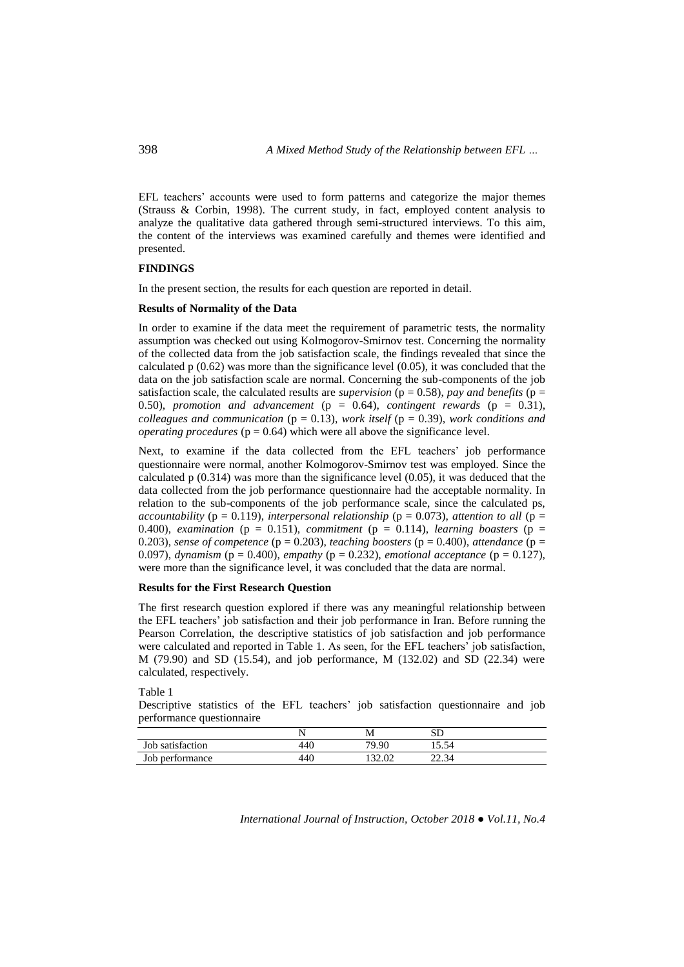398 *A Mixed Method Study of the Relationship between EFL …*

EFL teachers' accounts were used to form patterns and categorize the major themes (Strauss & Corbin, 1998). The current study, in fact, employed content analysis to analyze the qualitative data gathered through semi-structured interviews. To this aim, the content of the interviews was examined carefully and themes were identified and presented.

### **FINDINGS**

In the present section, the results for each question are reported in detail.

### **Results of Normality of the Data**

In order to examine if the data meet the requirement of parametric tests, the normality assumption was checked out using Kolmogorov-Smirnov test. Concerning the normality of the collected data from the job satisfaction scale, the findings revealed that since the calculated  $p(0.62)$  was more than the significance level  $(0.05)$ , it was concluded that the data on the job satisfaction scale are normal. Concerning the sub-components of the job satisfaction scale, the calculated results are *supervision* ( $p = 0.58$ ), *pay and benefits* ( $p =$ 0.50), *promotion and advancement* ( $p = 0.64$ ), *contingent rewards* ( $p = 0.31$ ), *colleagues and communication* ( $p = 0.13$ ), *work itself* ( $p = 0.39$ ), *work conditions and operating procedures* ( $p = 0.64$ ) which were all above the significance level.

Next, to examine if the data collected from the EFL teachers' job performance questionnaire were normal, another Kolmogorov-Smirnov test was employed*.* Since the calculated p  $(0.314)$  was more than the significance level  $(0.05)$ , it was deduced that the data collected from the job performance questionnaire had the acceptable normality. In relation to the sub-components of the job performance scale, since the calculated ps, *accountability* ( $p = 0.119$ ), *interpersonal relationship* ( $p = 0.073$ ), *attention to all* ( $p = 0.073$ ) 0.400), *examination* ( $p = 0.151$ ), *commitment* ( $p = 0.114$ ), *learning boasters* ( $p =$ 0.203), *sense of competence* ( $p = 0.203$ ), *teaching boosters* ( $p = 0.400$ ), *attendance* ( $p = 0.203$ ) 0.097), *dynamism* (p = 0.400), *empathy* (p = 0.232), *emotional acceptance* (p = 0.127), were more than the significance level, it was concluded that the data are normal.

### **Results for the First Research Question**

The first research question explored if there was any meaningful relationship between the EFL teachers' job satisfaction and their job performance in Iran. Before running the Pearson Correlation, the descriptive statistics of job satisfaction and job performance were calculated and reported in Table 1. As seen, for the EFL teachers' job satisfaction, M (79.90) and SD (15.54), and job performance, M (132.02) and SD (22.34) were calculated, respectively.

Table 1

Descriptive statistics of the EFL teachers' job satisfaction questionnaire and job performance questionnaire

|                  |     | IVI                | ط⊂د   |  |
|------------------|-----|--------------------|-------|--|
| Job satisfaction | 440 | 79.90              | 15.54 |  |
| Job performance  | 440 | 120. OO<br>1.32.02 | 22.34 |  |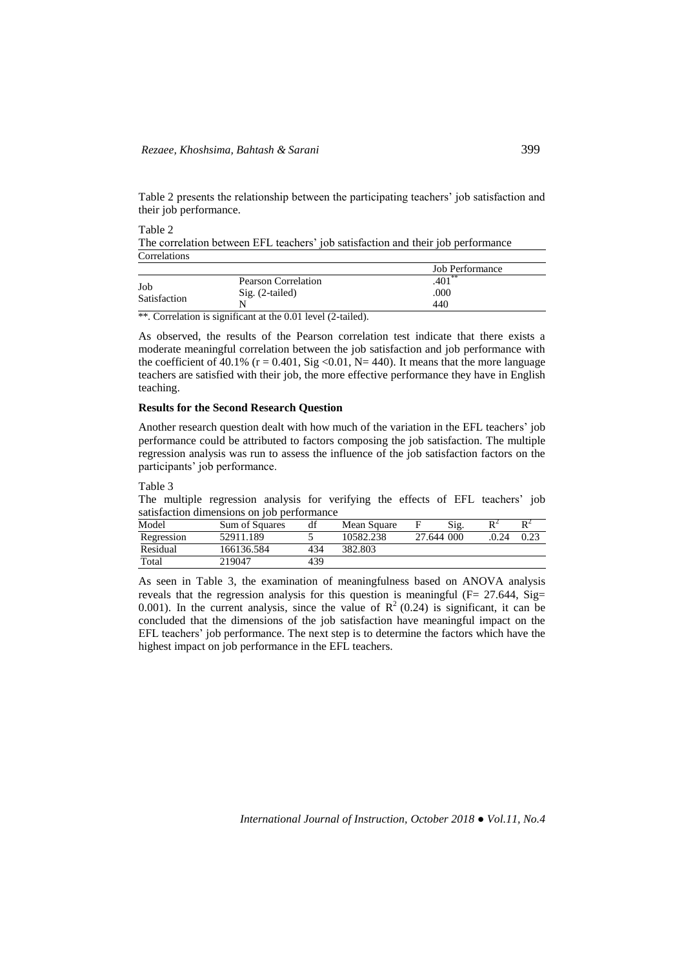Table 2 presents the relationship between the participating teachers' job satisfaction and their job performance.

The correlation between EFL teachers' job satisfaction and their job performance Correlations

|                     |                     | Job Performance |
|---------------------|---------------------|-----------------|
| Job<br>Satisfaction | Pearson Correlation | $.401***$       |
|                     | $Sig. (2-tailed)$   | .000            |
|                     |                     | 440             |
| .                   | .                   |                 |

\*\*. Correlation is significant at the 0.01 level (2-tailed).

As observed, the results of the Pearson correlation test indicate that there exists a moderate meaningful correlation between the job satisfaction and job performance with the coefficient of 40.1% ( $r = 0.401$ , Sig <0.01, N= 440). It means that the more language teachers are satisfied with their job, the more effective performance they have in English teaching.

# **Results for the Second Research Question**

Another research question dealt with how much of the variation in the EFL teachers' job performance could be attributed to factors composing the job satisfaction. The multiple regression analysis was run to assess the influence of the job satisfaction factors on the participants' job performance.

#### Table 3

Table 2

The multiple regression analysis for verifying the effects of EFL teachers' job satisfaction dimensions on job performance

| Model      | Sum of Squares | df  | Mean Square | Sig.       | DΖ   | D <sup>2</sup> |
|------------|----------------|-----|-------------|------------|------|----------------|
| Regression | 52911.189      |     | 10582.238   | 27.644 000 | 0.24 |                |
| Residual   | 166136.584     | 434 | 382.803     |            |      |                |
| Total      | 219047         | 439 |             |            |      |                |

As seen in Table 3, the examination of meaningfulness based on ANOVA analysis reveals that the regression analysis for this question is meaningful ( $F = 27.644$ , Sig= 0.001). In the current analysis, since the value of  $R^2(0.24)$  is significant, it can be concluded that the dimensions of the job satisfaction have meaningful impact on the EFL teachers' job performance. The next step is to determine the factors which have the highest impact on job performance in the EFL teachers.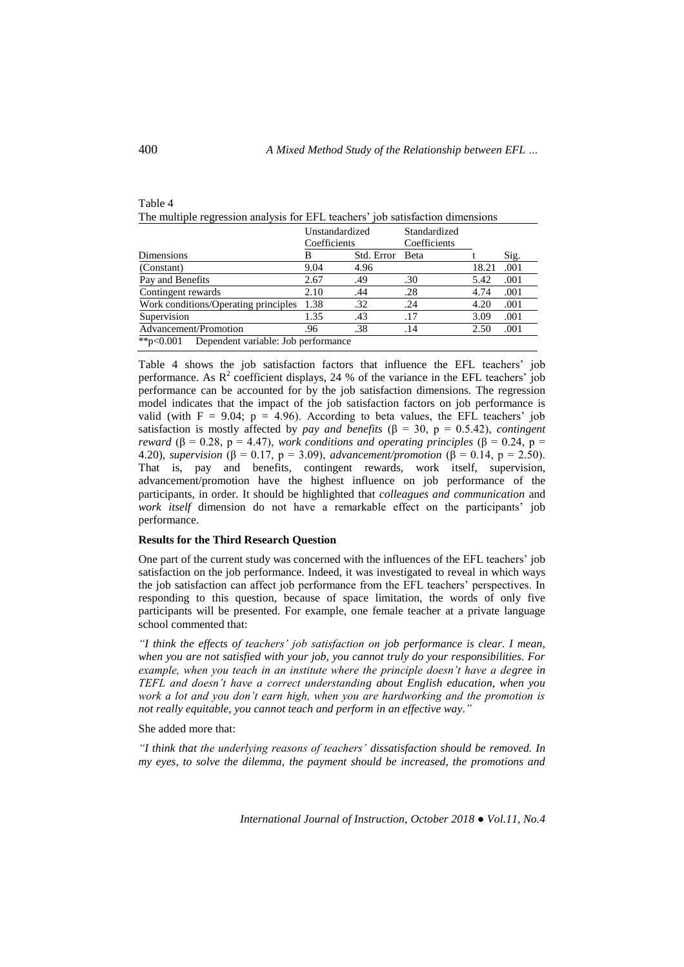|                                                  | Unstandardized<br>Coefficients |            | Standardized |       |      |  |
|--------------------------------------------------|--------------------------------|------------|--------------|-------|------|--|
|                                                  |                                |            | Coefficients |       |      |  |
| Dimensions                                       | в                              | Std. Error | Beta         |       | Sig. |  |
| (Constant)                                       | 9.04                           | 4.96       |              | 18.21 | .001 |  |
| Pay and Benefits                                 | 2.67                           | .49        | .30          | 5.42  | .001 |  |
| Contingent rewards                               | 2.10                           | .44        | .28          | 4.74  | .001 |  |
| Work conditions/Operating principles             | 1.38                           | .32        | .24          | 4.20  | .001 |  |
| Supervision                                      | 1.35                           | .43        | .17          | 3.09  | .001 |  |
| Advancement/Promotion                            | .96                            | .38        | .14          | 2.50  | .001 |  |
| **p<0.001<br>Dependent variable: Job performance |                                |            |              |       |      |  |

The multiple regression analysis for EFL teachers' job satisfaction dimensions

Table 4 shows the job satisfaction factors that influence the EFL teachers' job performance. As  $R^2$  coefficient displays, 24 % of the variance in the EFL teachers' job performance can be accounted for by the job satisfaction dimensions. The regression model indicates that the impact of the job satisfaction factors on job performance is valid (with  $F = 9.04$ ;  $p = 4.96$ ). According to beta values, the EFL teachers' job satisfaction is mostly affected by *pay and benefits*  $(\beta = 30, p = 0.5.42)$ , *contingent reward* ( $\beta = 0.28$ ,  $p = 4.47$ ), *work conditions and operating principles* ( $\beta = 0.24$ ,  $p =$ 4.20), *supervision* (β = 0.17, p = 3.09), *advancement/promotion* (β = 0.14, p = 2.50). That is, pay and benefits, contingent rewards, work itself, supervision, advancement/promotion have the highest influence on job performance of the participants, in order. It should be highlighted that *colleagues and communication* and *work itself* dimension do not have a remarkable effect on the participants' job performance.

### **Results for the Third Research Question**

One part of the current study was concerned with the influences of the EFL teachers' job satisfaction on the job performance. Indeed, it was investigated to reveal in which ways the job satisfaction can affect job performance from the EFL teachers' perspectives. In responding to this question, because of space limitation, the words of only five participants will be presented. For example, one female teacher at a private language school commented that:

*"I think the effects of teachers' job satisfaction on job performance is clear. I mean, when you are not satisfied with your job, you cannot truly do your responsibilities. For example, when you teach in an institute where the principle doesn't have a degree in TEFL and doesn't have a correct understanding about English education, when you work a lot and you don't earn high, when you are hardworking and the promotion is not really equitable, you cannot teach and perform in an effective way*.*"*

### She added more that:

*"I think that the underlying reasons of teachers' dissatisfaction should be removed. In my eyes, to solve the dilemma, the payment should be increased, the promotions and* 

*International Journal of Instruction, October 2018 ● Vol.11, No.4*

Table 4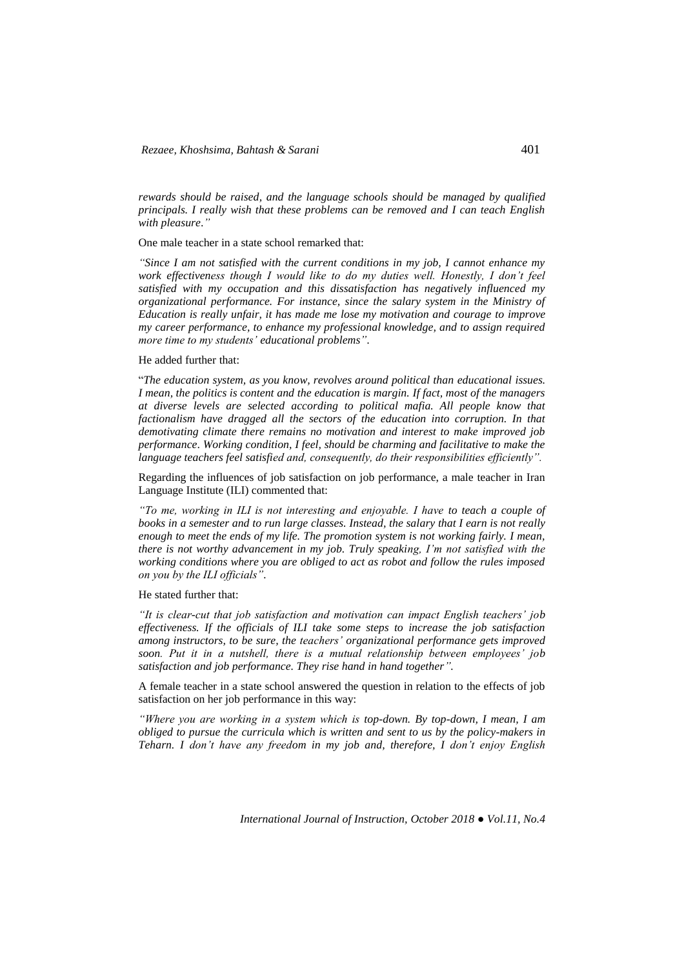*rewards should be raised, and the language schools should be managed by qualified principals. I really wish that these problems can be removed and I can teach English with pleasure*.*"*

One male teacher in a state school remarked that:

*"Since I am not satisfied with the current conditions in my job, I cannot enhance my work effectiveness though I would like to do my duties well. Honestly, I don't feel satisfied with my occupation and this dissatisfaction has negatively influenced my organizational performance. For instance, since the salary system in the Ministry of Education is really unfair, it has made me lose my motivation and courage to improve my career performance, to enhance my professional knowledge, and to assign required more time to my students' educational problems"*.

#### He added further that:

"*The education system, as you know, revolves around political than educational issues. I mean, the politics is content and the education is margin. If fact, most of the managers at diverse levels are selected according to political mafia. All people know that factionalism have dragged all the sectors of the education into corruption. In that demotivating climate there remains no motivation and interest to make improved job performance*. *Working condition, I feel, should be charming and facilitative to make the language teachers feel satisfied and, consequently, do their responsibilities efficiently".* 

Regarding the influences of job satisfaction on job performance, a male teacher in Iran Language Institute (ILI) commented that:

*"To me, working in ILI is not interesting and enjoyable. I have to teach a couple of books in a semester and to run large classes. Instead, the salary that I earn is not really enough to meet the ends of my life. The promotion system is not working fairly. I mean, there is not worthy advancement in my job. Truly speaking, I'm not satisfied with the working conditions where you are obliged to act as robot and follow the rules imposed on you by the ILI officials".*

# He stated further that:

*"It is clear-cut that job satisfaction and motivation can impact English teachers' job effectiveness. If the officials of ILI take some steps to increase the job satisfaction among instructors, to be sure, the teachers' organizational performance gets improved soon. Put it in a nutshell, there is a mutual relationship between employees' job satisfaction and job performance. They rise hand in hand together".*

A female teacher in a state school answered the question in relation to the effects of job satisfaction on her job performance in this way:

*"Where you are working in a system which is top-down. By top-down, I mean, I am obliged to pursue the curricula which is written and sent to us by the policy-makers in Teharn. I don't have any freedom in my job and, therefore, I don't enjoy English*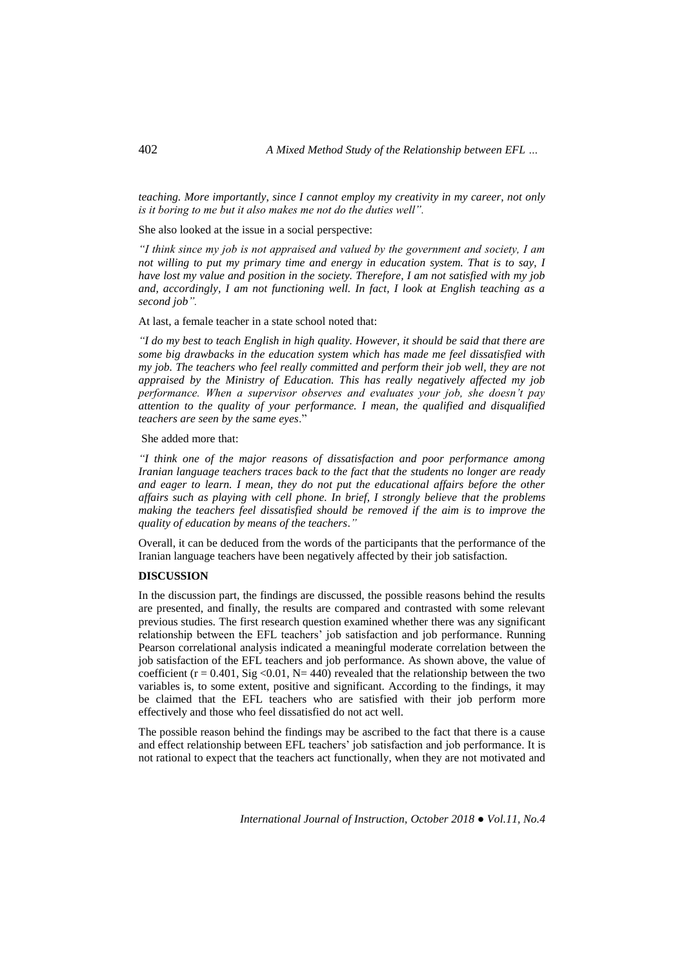*teaching. More importantly*, *since I cannot employ my creativity in my career, not only is it boring to me but it also makes me not do the duties well".*

She also looked at the issue in a social perspective:

*"I think since my job is not appraised and valued by the government and society, I am not willing to put my primary time and energy in education system. That is to say, I have lost my value and position in the society. Therefore, I am not satisfied with my job and, accordingly, I am not functioning well. In fact, I look at English teaching as a second job".* 

At last, a female teacher in a state school noted that:

*"I do my best to teach English in high quality. However, it should be said that there are some big drawbacks in the education system which has made me feel dissatisfied with my job. The teachers who feel really committed and perform their job well, they are not appraised by the Ministry of Education. This has really negatively affected my job performance. When a supervisor observes and evaluates your job, she doesn't pay attention to the quality of your performance. I mean, the qualified and disqualified teachers are seen by the same eyes*."

She added more that:

*"I think one of the major reasons of dissatisfaction and poor performance among Iranian language teachers traces back to the fact that the students no longer are ready*  and eager to learn. I mean, they do not put the educational affairs before the other *affairs such as playing with cell phone. In brief, I strongly believe that the problems making the teachers feel dissatisfied should be removed if the aim is to improve the quality of education by means of the teachers*.*"*

Overall, it can be deduced from the words of the participants that the performance of the Iranian language teachers have been negatively affected by their job satisfaction.

## **DISCUSSION**

In the discussion part, the findings are discussed, the possible reasons behind the results are presented, and finally, the results are compared and contrasted with some relevant previous studies. The first research question examined whether there was any significant relationship between the EFL teachers' job satisfaction and job performance. Running Pearson correlational analysis indicated a meaningful moderate correlation between the job satisfaction of the EFL teachers and job performance. As shown above, the value of coefficient ( $r = 0.401$ , Sig < 0.01, N= 440) revealed that the relationship between the two variables is, to some extent, positive and significant. According to the findings, it may be claimed that the EFL teachers who are satisfied with their job perform more effectively and those who feel dissatisfied do not act well.

The possible reason behind the findings may be ascribed to the fact that there is a cause and effect relationship between EFL teachers' job satisfaction and job performance. It is not rational to expect that the teachers act functionally, when they are not motivated and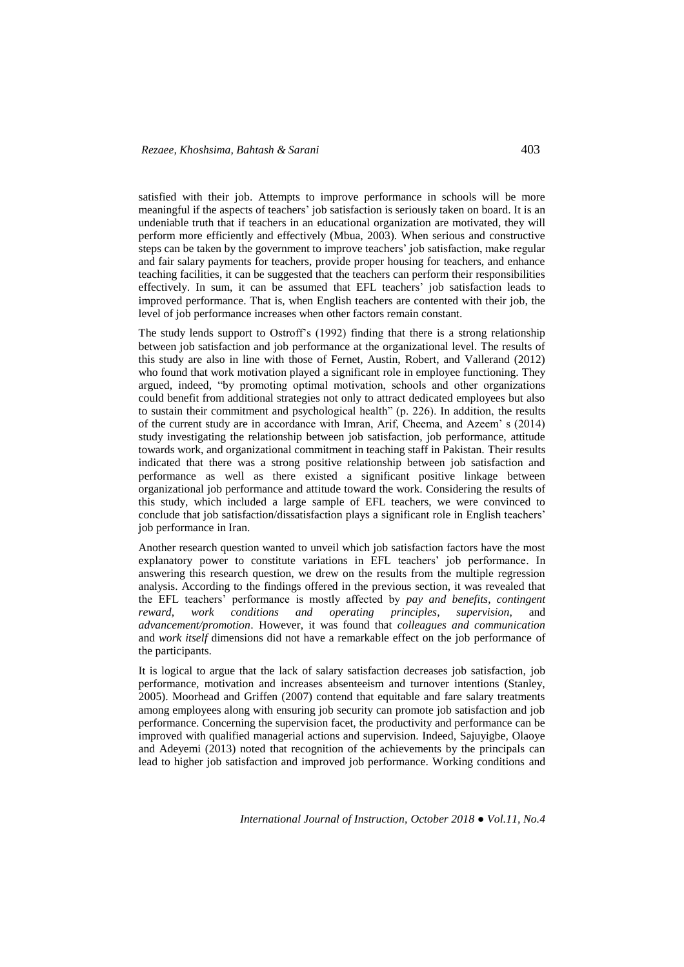satisfied with their job. Attempts to improve performance in schools will be more meaningful if the aspects of teachers' job satisfaction is seriously taken on board. It is an undeniable truth that if teachers in an educational organization are motivated, they will perform more efficiently and effectively (Mbua, 2003). When serious and constructive steps can be taken by the government to improve teachers' job satisfaction, make regular and fair salary payments for teachers, provide proper housing for teachers, and enhance teaching facilities, it can be suggested that the teachers can perform their responsibilities effectively. In sum, it can be assumed that EFL teachers' job satisfaction leads to improved performance. That is, when English teachers are contented with their job, the level of job performance increases when other factors remain constant.

The study lends support to Ostroff's (1992) finding that there is a strong relationship between job satisfaction and job performance at the organizational level. The results of this study are also in line with those of Fernet, Austin, Robert, and Vallerand (2012) who found that work motivation played a significant role in employee functioning. They argued, indeed, "by promoting optimal motivation, schools and other organizations could benefit from additional strategies not only to attract dedicated employees but also to sustain their commitment and psychological health" (p. 226). In addition, the results of the current study are in accordance with Imran, Arif, Cheema, and Azeem' s (2014) study investigating the relationship between job satisfaction, job performance, attitude towards work, and organizational commitment in teaching staff in Pakistan. Their results indicated that there was a strong positive relationship between job satisfaction and performance as well as there existed a significant positive linkage between organizational job performance and attitude toward the work. Considering the results of this study, which included a large sample of EFL teachers, we were convinced to conclude that job satisfaction/dissatisfaction plays a significant role in English teachers' job performance in Iran.

Another research question wanted to unveil which job satisfaction factors have the most explanatory power to constitute variations in EFL teachers' job performance. In answering this research question, we drew on the results from the multiple regression analysis. According to the findings offered in the previous section, it was revealed that the EFL teachers' performance is mostly affected by *pay and benefits*, *contingent reward*, *work conditions and operating principles*, *supervision*, and *advancement/promotion*. However, it was found that *colleagues and communication*  and *work itself* dimensions did not have a remarkable effect on the job performance of the participants.

It is logical to argue that the lack of salary satisfaction decreases job satisfaction, job performance, motivation and increases absenteeism and turnover intentions (Stanley, 2005). Moorhead and Griffen (2007) contend that equitable and fare salary treatments among employees along with ensuring job security can promote job satisfaction and job performance. Concerning the supervision facet, the productivity and performance can be improved with qualified managerial actions and supervision. Indeed, Sajuyigbe, Olaoye and Adeyemi (2013) noted that recognition of the achievements by the principals can lead to higher job satisfaction and improved job performance. Working conditions and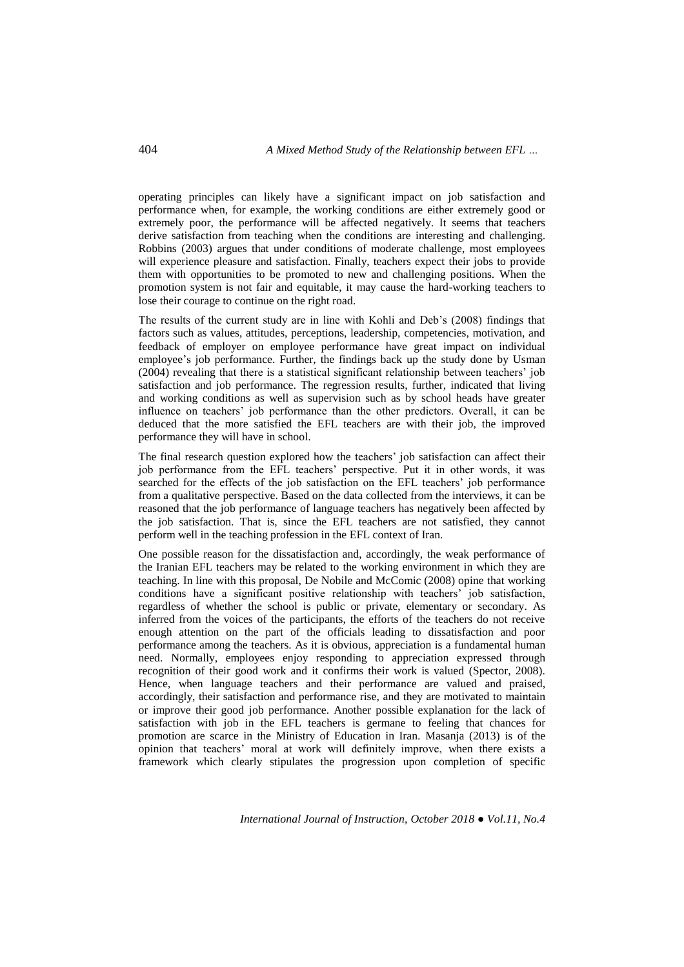operating principles can likely have a significant impact on job satisfaction and performance when, for example, the working conditions are either extremely good or extremely poor, the performance will be affected negatively. It seems that teachers derive satisfaction from teaching when the conditions are interesting and challenging. Robbins (2003) argues that under conditions of moderate challenge, most employees will experience pleasure and satisfaction. Finally, teachers expect their jobs to provide them with opportunities to be promoted to new and challenging positions. When the promotion system is not fair and equitable, it may cause the hard-working teachers to lose their courage to continue on the right road.

The results of the current study are in line with Kohli and Deb's (2008) findings that factors such as values, attitudes, perceptions, leadership, competencies, motivation, and feedback of employer on employee performance have great impact on individual employee's job performance. Further, the findings back up the study done by Usman (2004) revealing that there is a statistical significant relationship between teachers' job satisfaction and job performance. The regression results, further, indicated that living and working conditions as well as supervision such as by school heads have greater influence on teachers' job performance than the other predictors. Overall, it can be deduced that the more satisfied the EFL teachers are with their job, the improved performance they will have in school.

The final research question explored how the teachers' job satisfaction can affect their job performance from the EFL teachers' perspective. Put it in other words, it was searched for the effects of the job satisfaction on the EFL teachers' job performance from a qualitative perspective. Based on the data collected from the interviews, it can be reasoned that the job performance of language teachers has negatively been affected by the job satisfaction. That is, since the EFL teachers are not satisfied, they cannot perform well in the teaching profession in the EFL context of Iran.

One possible reason for the dissatisfaction and, accordingly, the weak performance of the Iranian EFL teachers may be related to the working environment in which they are teaching. In line with this proposal, De Nobile and McComic (2008) opine that working conditions have a significant positive relationship with teachers' job satisfaction, regardless of whether the school is public or private, elementary or secondary. As inferred from the voices of the participants, the efforts of the teachers do not receive enough attention on the part of the officials leading to dissatisfaction and poor performance among the teachers. As it is obvious, appreciation is a fundamental human need. Normally, employees enjoy responding to appreciation expressed through recognition of their good work and it confirms their work is valued (Spector, 2008). Hence, when language teachers and their performance are valued and praised, accordingly, their satisfaction and performance rise, and they are motivated to maintain or improve their good job performance. Another possible explanation for the lack of satisfaction with job in the EFL teachers is germane to feeling that chances for promotion are scarce in the Ministry of Education in Iran. Masanja (2013) is of the opinion that teachers' moral at work will definitely improve, when there exists a framework which clearly stipulates the progression upon completion of specific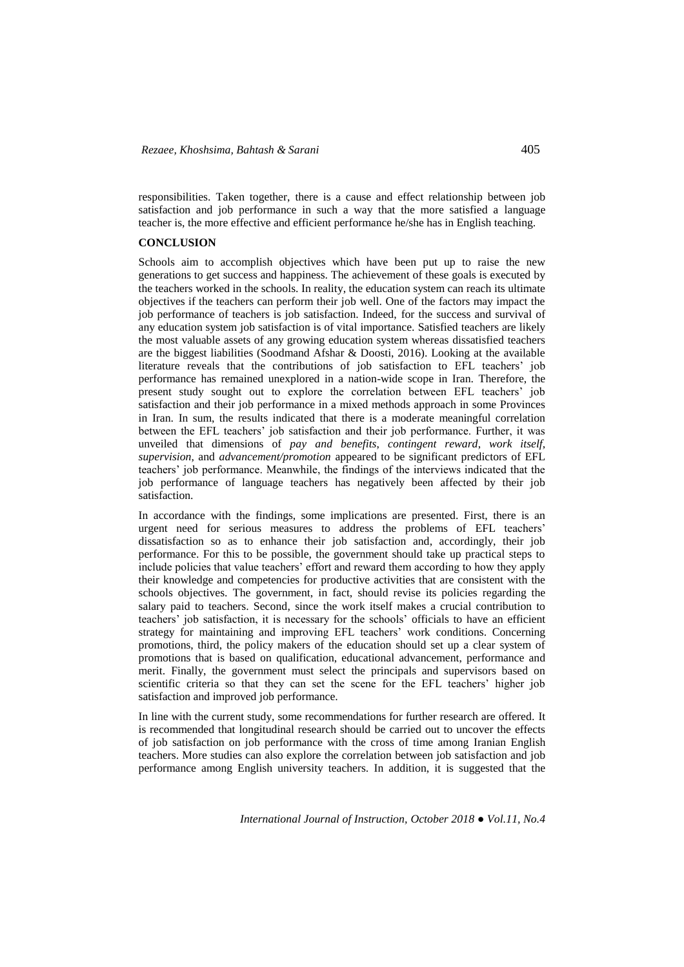responsibilities. Taken together, there is a cause and effect relationship between job satisfaction and job performance in such a way that the more satisfied a language teacher is, the more effective and efficient performance he/she has in English teaching.

## **CONCLUSION**

Schools aim to accomplish objectives which have been put up to raise the new generations to get success and happiness. The achievement of these goals is executed by the teachers worked in the schools. In reality, the education system can reach its ultimate objectives if the teachers can perform their job well. One of the factors may impact the job performance of teachers is job satisfaction. Indeed, for the success and survival of any education system job satisfaction is of vital importance. Satisfied teachers are likely the most valuable assets of any growing education system whereas dissatisfied teachers are the biggest liabilities (Soodmand Afshar & Doosti, 2016). Looking at the available literature reveals that the contributions of job satisfaction to EFL teachers' job performance has remained unexplored in a nation-wide scope in Iran. Therefore, the present study sought out to explore the correlation between EFL teachers' job satisfaction and their job performance in a mixed methods approach in some Provinces in Iran. In sum, the results indicated that there is a moderate meaningful correlation between the EFL teachers' job satisfaction and their job performance. Further, it was unveiled that dimensions of *pay and benefits*, *contingent reward*, *work itself*, *supervision*, and *advancement/promotion* appeared to be significant predictors of EFL teachers' job performance. Meanwhile, the findings of the interviews indicated that the job performance of language teachers has negatively been affected by their job satisfaction.

In accordance with the findings, some implications are presented. First, there is an urgent need for serious measures to address the problems of EFL teachers' dissatisfaction so as to enhance their job satisfaction and, accordingly, their job performance. For this to be possible, the government should take up practical steps to include policies that value teachers' effort and reward them according to how they apply their knowledge and competencies for productive activities that are consistent with the schools objectives. The government, in fact, should revise its policies regarding the salary paid to teachers. Second, since the work itself makes a crucial contribution to teachers' job satisfaction, it is necessary for the schools' officials to have an efficient strategy for maintaining and improving EFL teachers' work conditions. Concerning promotions, third, the policy makers of the education should set up a clear system of promotions that is based on qualification, educational advancement, performance and merit. Finally, the government must select the principals and supervisors based on scientific criteria so that they can set the scene for the EFL teachers' higher job satisfaction and improved job performance.

In line with the current study, some recommendations for further research are offered. It is recommended that longitudinal research should be carried out to uncover the effects of job satisfaction on job performance with the cross of time among Iranian English teachers. More studies can also explore the correlation between job satisfaction and job performance among English university teachers. In addition, it is suggested that the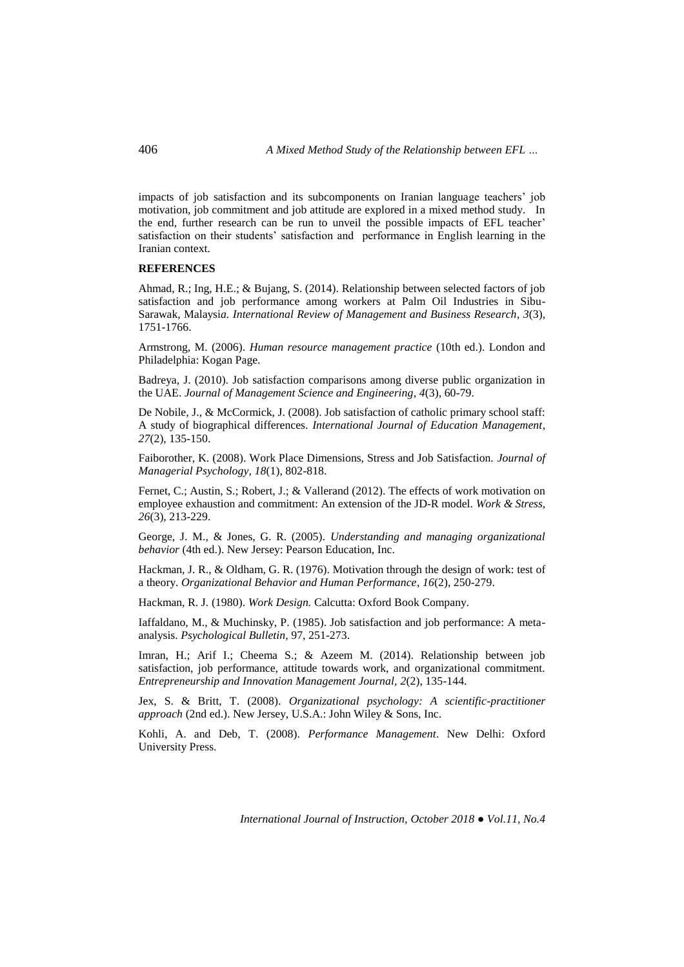406 *A Mixed Method Study of the Relationship between EFL …*

impacts of job satisfaction and its subcomponents on Iranian language teachers' job motivation, job commitment and job attitude are explored in a mixed method study. In the end, further research can be run to unveil the possible impacts of EFL teacher' satisfaction on their students' satisfaction and performance in English learning in the Iranian context.

#### **REFERENCES**

Ahmad, R.; Ing, H.E.; & Bujang, S. (2014). Relationship between selected factors of job satisfaction and job performance among workers at Palm Oil Industries in Sibu-Sarawak, Malaysi*a. International Review of Management and Business Research*, *3*(3), 1751-1766.

Armstrong, M. (2006). *Human resource management practice* (10th ed.). London and Philadelphia: Kogan Page.

Badreya, J. (2010). Job satisfaction comparisons among diverse public organization in the UAE. *Journal of Management Science and Engineering*, *4*(3), 60-79.

De Nobile, J., & McCormick, J. (2008). Job satisfaction of catholic primary school staff: A study of biographical differences. *International Journal of Education Management*, *27*(2), 135-150.

Faiborother, K. (2008). Work Place Dimensions, Stress and Job Satisfaction. *Journal of Managerial Psychology*, *18*(1), 802-818.

Fernet, C.; Austin, S.; Robert, J.; & Vallerand (2012). The effects of work motivation on employee exhaustion and commitment: An extension of the JD-R model. *Work & Stress, 26*(3), 213-229.

George, J. M., & Jones, G. R. (2005). *Understanding and managing organizational behavior* (4th ed.). New Jersey: Pearson Education, Inc.

Hackman, J. R., & Oldham, G. R. (1976). Motivation through the design of work: test of a theory. *Organizational Behavior and Human Performance*, *16*(2), 250-279.

Hackman, R. J*.* (1980). *Work Design.* Calcutta: Oxford Book Company.

Iaffaldano, M., & Muchinsky, P. (1985). Job satisfaction and job performance: A metaanalysis. *Psychological Bulletin*, 97, 251-273.

Imran, H.; Arif I.; Cheema S.; & Azeem M. (2014). Relationship between job satisfaction, job performance, attitude towards work, and organizational commitment. *Entrepreneurship and Innovation Management Journal, 2*(2), 135-144.

Jex, S. & Britt, T. (2008). *Organizational psychology: A scientific-practitioner approach* (2nd ed.). New Jersey, U.S.A.: John Wiley & Sons, Inc.

Kohli, A. and Deb, T. (2008). *Performance Management*. New Delhi: Oxford University Press.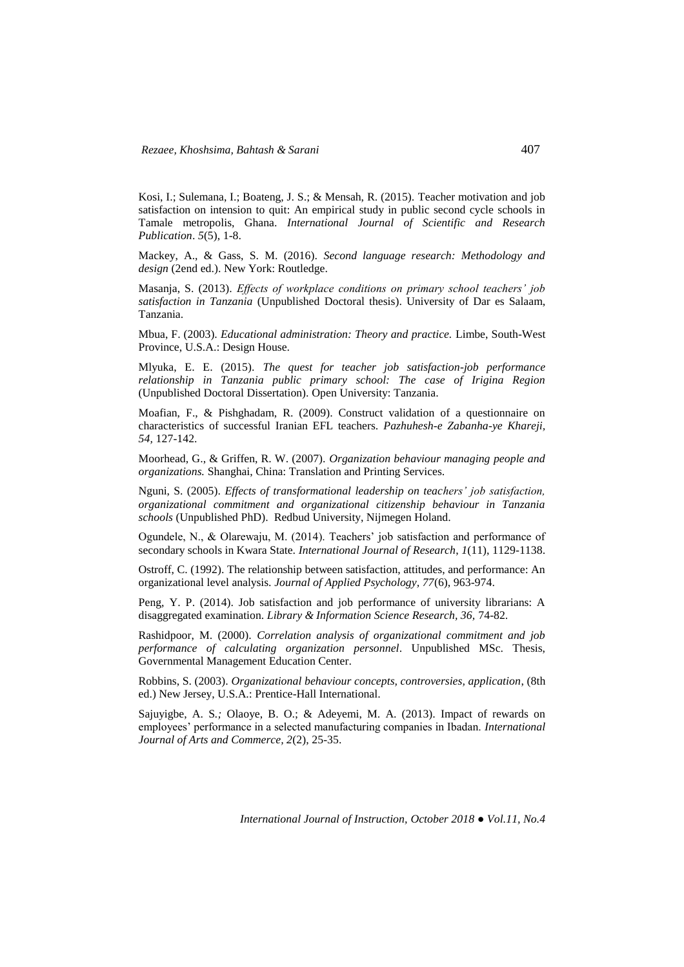Kosi, I.; Sulemana, I.; Boateng, J. S.; & Mensah, R. (2015). Teacher motivation and job satisfaction on intension to quit: An empirical study in public second cycle schools in Tamale metropolis, Ghana. *International Journal of Scientific and Research Publication*. *5*(5), 1-8.

Mackey, A., & Gass, S. M. (2016). *Second language research: Methodology and design* (2end ed.). New York: Routledge.

Masanja, S. (2013). *Effects of workplace conditions on primary school teachers' job satisfaction in Tanzania* (Unpublished Doctoral thesis). University of Dar es Salaam, Tanzania.

Mbua, F. (2003). *Educational administration: Theory and practice.* Limbe, South-West Province, U.S.A.: Design House.

Mlyuka, E. E. (2015). *The quest for teacher job satisfaction-job performance relationship in Tanzania public primary school: The case of Irigina Region* (Unpublished Doctoral Dissertation). Open University: Tanzania.

Moafian, F., & Pishghadam, R. (2009). Construct validation of a questionnaire on characteristics of successful Iranian EFL teachers. *Pazhuhesh-e Zabanha-ye Khareji, 54,* 127-142.

Moorhead, G., & Griffen, R. W. (2007). *Organization behaviour managing people and organizations.* Shanghai, China: Translation and Printing Services.

Nguni, S. (2005). *Effects of transformational leadership on teachers' job satisfaction, organizational commitment and organizational citizenship behaviour in Tanzania schools* (Unpublished PhD). Redbud University, Nijmegen Holand.

Ogundele, N., & Olarewaju, M. (2014). Teachers' job satisfaction and performance of secondary schools in Kwara State. *International Journal of Research*, *1*(11), 1129-1138.

Ostroff, C. (1992). The relationship between satisfaction, attitudes, and performance: An organizational level analysis. *Journal of Applied Psychology, 77*(6), 963-974.

Peng, Y. P. (2014). Job satisfaction and job performance of university librarians: A disaggregated examination. *Library & Information Science Research, 36,* 74-82.

Rashidpoor, M. (2000). *Correlation analysis of organizational commitment and job performance of calculating organization personnel*. Unpublished MSc. Thesis, Governmental Management Education Center.

Robbins, S. (2003). *Organizational behaviour concepts, controversies, application*, (8th ed.) New Jersey, U.S.A.: Prentice-Hall International.

Sajuyigbe, A. S*.;* Olaoye, B. O.; & Adeyemi, M. A. (2013). Impact of rewards on employees' performance in a selected manufacturing companies in Ibadan. *International Journal of Arts and Commerce, 2*(2), 25-35.